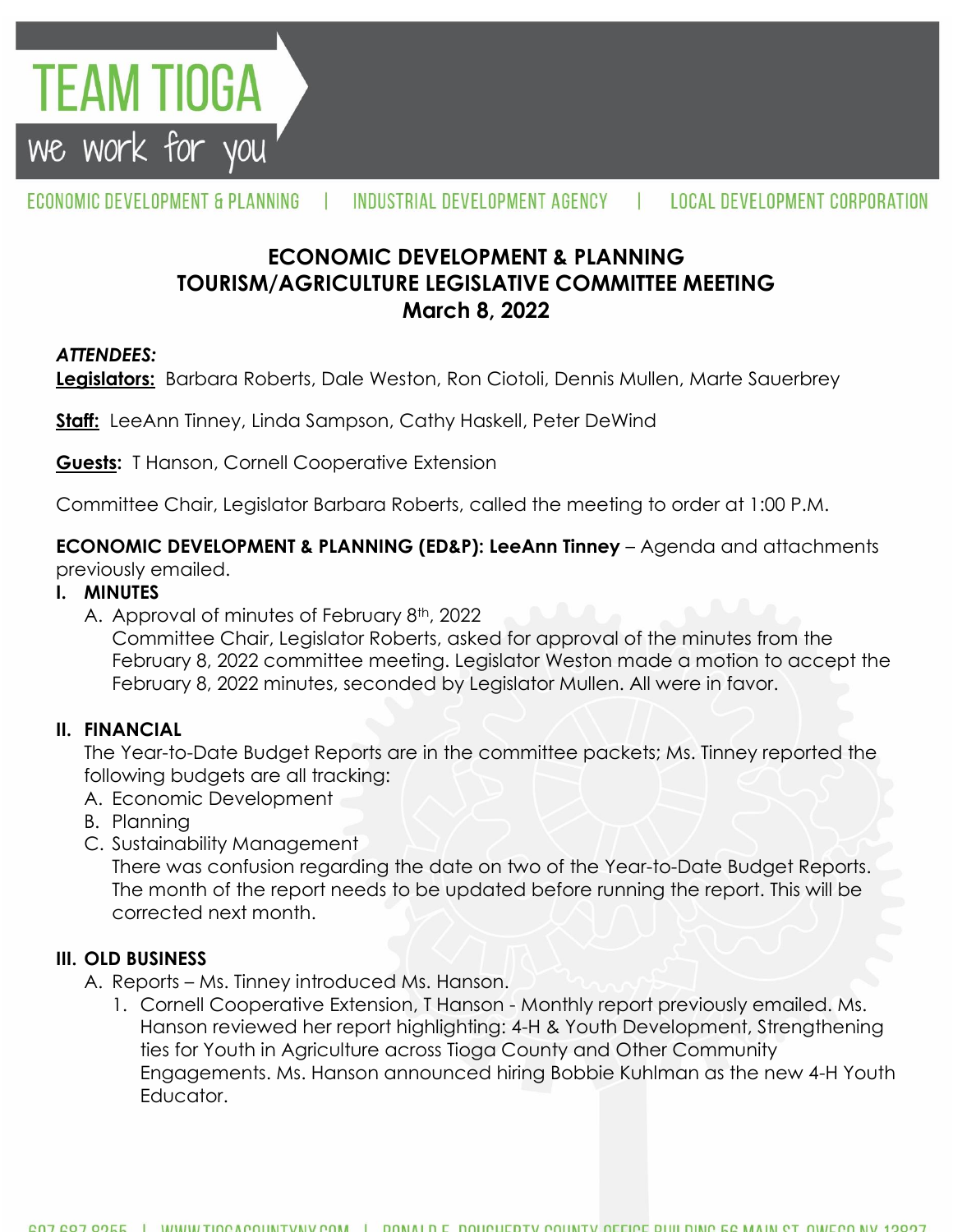

#### ECONOMIC DEVELOPMENT & PLANNING INDUSTRIAL DEVELOPMENT AGENCY **LOCAL DEVELOPMENT CORPORATION**

# **ECONOMIC DEVELOPMENT & PLANNING TOURISM/AGRICULTURE LEGISLATIVE COMMITTEE MEETING March 8, 2022**

## *ATTENDEES:*

**Legislators:** Barbara Roberts, Dale Weston, Ron Ciotoli, Dennis Mullen, Marte Sauerbrey

**Staff:** LeeAnn Tinney, Linda Sampson, Cathy Haskell, Peter DeWind

**Guests:** T Hanson, Cornell Cooperative Extension

Committee Chair, Legislator Barbara Roberts, called the meeting to order at 1:00 P.M.

#### **ECONOMIC DEVELOPMENT & PLANNING (ED&P): LeeAnn Tinney** – Agenda and attachments

previously emailed.

### **I. MINUTES**

A. Approval of minutes of February 8<sup>th</sup>, 2022

Committee Chair, Legislator Roberts, asked for approval of the minutes from the February 8, 2022 committee meeting. Legislator Weston made a motion to accept the February 8, 2022 minutes, seconded by Legislator Mullen. All were in favor.

#### **II. FINANCIAL**

The Year-to-Date Budget Reports are in the committee packets; Ms. Tinney reported the following budgets are all tracking:

- A. Economic Development
- B. Planning
- C. Sustainability Management

There was confusion regarding the date on two of the Year-to-Date Budget Reports. The month of the report needs to be updated before running the report. This will be corrected next month.

#### **III. OLD BUSINESS**

- A. Reports Ms. Tinney introduced Ms. Hanson.
	- 1. Cornell Cooperative Extension, T Hanson Monthly report previously emailed. Ms. Hanson reviewed her report highlighting: 4-H & Youth Development, Strengthening ties for Youth in Agriculture across Tioga County and Other Community Engagements. Ms. Hanson announced hiring Bobbie Kuhlman as the new 4-H Youth Educator.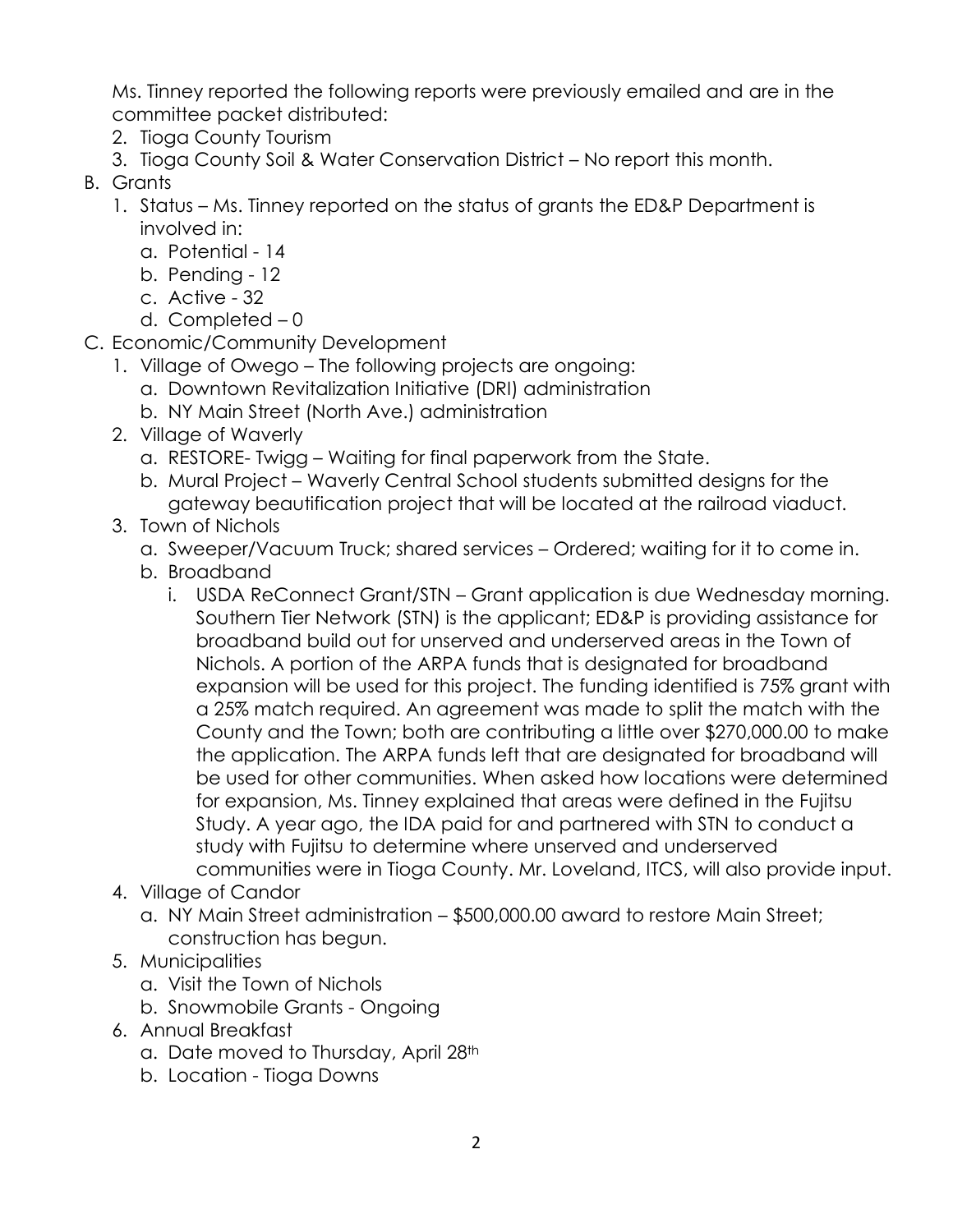Ms. Tinney reported the following reports were previously emailed and are in the committee packet distributed:

- 2. Tioga County Tourism
- 3. Tioga County Soil & Water Conservation District No report this month.
- B. Grants
	- 1. Status Ms. Tinney reported on the status of grants the ED&P Department is involved in:
		- a. Potential 14
		- b. Pending 12
		- c. Active 32
		- d. Completed 0
- C. Economic/Community Development
	- 1. Village of Owego The following projects are ongoing:
		- a. Downtown Revitalization Initiative (DRI) administration
		- b. NY Main Street (North Ave.) administration
	- 2. Village of Waverly
		- a. RESTORE- Twigg Waiting for final paperwork from the State.
		- b. Mural Project Waverly Central School students submitted designs for the gateway beautification project that will be located at the railroad viaduct.
	- 3. Town of Nichols
		- a. Sweeper/Vacuum Truck; shared services Ordered; waiting for it to come in.
		- b. Broadband
			- i. USDA ReConnect Grant/STN Grant application is due Wednesday morning. Southern Tier Network (STN) is the applicant; ED&P is providing assistance for broadband build out for unserved and underserved areas in the Town of Nichols. A portion of the ARPA funds that is designated for broadband expansion will be used for this project. The funding identified is 75% grant with a 25% match required. An agreement was made to split the match with the County and the Town; both are contributing a little over \$270,000.00 to make the application. The ARPA funds left that are designated for broadband will be used for other communities. When asked how locations were determined for expansion, Ms. Tinney explained that areas were defined in the Fujitsu Study. A year ago, the IDA paid for and partnered with STN to conduct a study with Fujitsu to determine where unserved and underserved communities were in Tioga County. Mr. Loveland, ITCS, will also provide input.
	- 4. Village of Candor
		- a. NY Main Street administration \$500,000.00 award to restore Main Street; construction has begun.
	- 5. Municipalities
		- a. Visit the Town of Nichols
		- b. Snowmobile Grants Ongoing
	- 6. Annual Breakfast
		- a. Date moved to Thursday, April 28th
		- b. Location Tioga Downs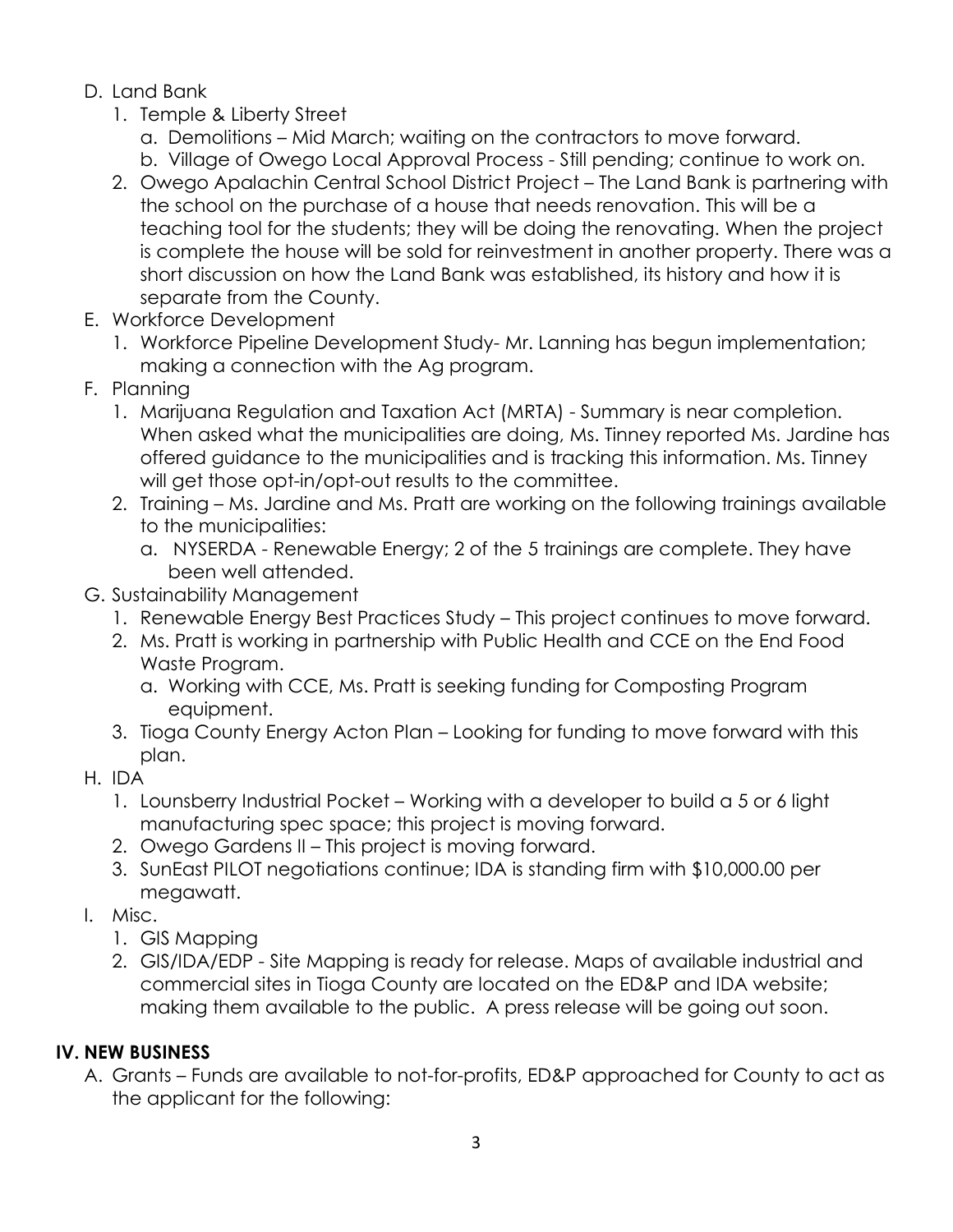- D. Land Bank
	- 1. Temple & Liberty Street
		- a. Demolitions Mid March; waiting on the contractors to move forward.
		- b. Village of Owego Local Approval Process Still pending; continue to work on.
	- 2. Owego Apalachin Central School District Project The Land Bank is partnering with the school on the purchase of a house that needs renovation. This will be a teaching tool for the students; they will be doing the renovating. When the project is complete the house will be sold for reinvestment in another property. There was a short discussion on how the Land Bank was established, its history and how it is separate from the County.
- E. Workforce Development
	- 1. Workforce Pipeline Development Study- Mr. Lanning has begun implementation; making a connection with the Ag program.
- F. Planning
	- 1. Marijuana Regulation and Taxation Act (MRTA) Summary is near completion. When asked what the municipalities are doing, Ms. Tinney reported Ms. Jardine has offered guidance to the municipalities and is tracking this information. Ms. Tinney will get those opt-in/opt-out results to the committee.
	- 2. Training Ms. Jardine and Ms. Pratt are working on the following trainings available to the municipalities:
		- a. NYSERDA Renewable Energy; 2 of the 5 trainings are complete. They have been well attended.
- G. Sustainability Management
	- 1. Renewable Energy Best Practices Study This project continues to move forward.
	- 2. Ms. Pratt is working in partnership with Public Health and CCE on the End Food Waste Program.
		- a. Working with CCE, Ms. Pratt is seeking funding for Composting Program equipment.
	- 3. Tioga County Energy Acton Plan Looking for funding to move forward with this plan.
- H. IDA
	- 1. Lounsberry Industrial Pocket Working with a developer to build a 5 or 6 light manufacturing spec space; this project is moving forward.
	- 2. Owego Gardens II This project is moving forward.
	- 3. SunEast PILOT negotiations continue; IDA is standing firm with \$10,000.00 per megawatt.
- I. Misc.
	- 1. GIS Mapping
	- 2. GIS/IDA/EDP Site Mapping is ready for release. Maps of available industrial and commercial sites in Tioga County are located on the ED&P and IDA website; making them available to the public. A press release will be going out soon.

# **IV. NEW BUSINESS**

A. Grants – Funds are available to not-for-profits, ED&P approached for County to act as the applicant for the following: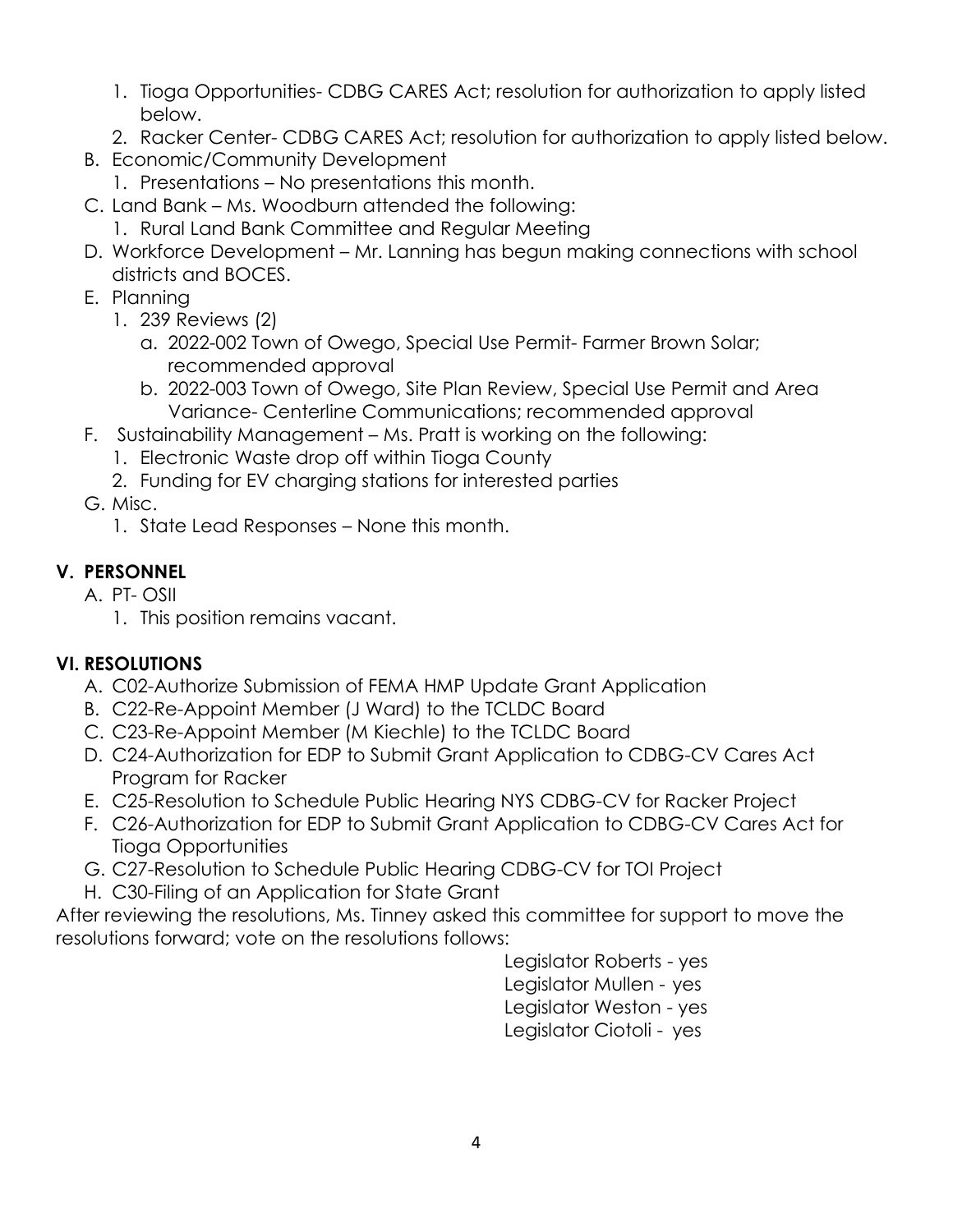- 1. Tioga Opportunities- CDBG CARES Act; resolution for authorization to apply listed below.
- 2. Racker Center- CDBG CARES Act; resolution for authorization to apply listed below.
- B. Economic/Community Development
	- 1. Presentations No presentations this month.
- C. Land Bank Ms. Woodburn attended the following:
	- 1. Rural Land Bank Committee and Regular Meeting
- D. Workforce Development Mr. Lanning has begun making connections with school districts and BOCES.
- E. Planning
	- 1. 239 Reviews (2)
		- a. 2022-002 Town of Owego, Special Use Permit- Farmer Brown Solar; recommended approval
		- b. 2022-003 Town of Owego, Site Plan Review, Special Use Permit and Area Variance- Centerline Communications; recommended approval
- F. Sustainability Management Ms. Pratt is working on the following:
	- 1. Electronic Waste drop off within Tioga County
	- 2. Funding for EV charging stations for interested parties
- G. Misc.
	- 1. State Lead Responses None this month.

# **V. PERSONNEL**

- A. PT- OSII
	- 1. This position remains vacant.

## **VI. RESOLUTIONS**

- A. C02-Authorize Submission of FEMA HMP Update Grant Application
- B. C22-Re-Appoint Member (J Ward) to the TCLDC Board
- C. C23-Re-Appoint Member (M Kiechle) to the TCLDC Board
- D. C24-Authorization for EDP to Submit Grant Application to CDBG-CV Cares Act Program for Racker
- E. C25-Resolution to Schedule Public Hearing NYS CDBG-CV for Racker Project
- F. C26-Authorization for EDP to Submit Grant Application to CDBG-CV Cares Act for Tioga Opportunities
- G. C27-Resolution to Schedule Public Hearing CDBG-CV for TOI Project
- H. C30-Filing of an Application for State Grant

After reviewing the resolutions, Ms. Tinney asked this committee for support to move the resolutions forward; vote on the resolutions follows:

> Legislator Roberts - yes Legislator Mullen - yes Legislator Weston - yes Legislator Ciotoli - yes